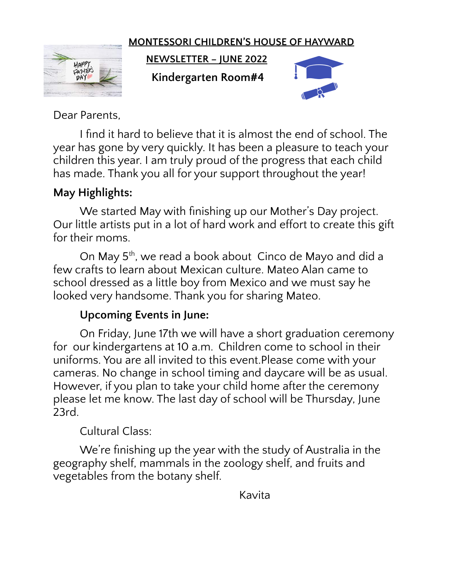#### **MONTESSORI CHILDREN'S HOUSE OF HAYWARD**



**NEWSLETTER – JUNE 2022**

**Kindergarten Room#4**



Dear Parents,

I find it hard to believe that it is almost the end of school. The year has gone by very quickly. It has been a pleasure to teach your children this year. I am truly proud of the progress that each child has made. Thank you all for your support throughout the year!

## **May Highlights:**

We started May with finishing up our Mother's Day project. Our little artists put in a lot of hard work and effort to create this gift for their moms.

On May 5<sup>th</sup>, we read a book about Cinco de Mayo and did a few crafts to learn about Mexican culture. Mateo Alan came to school dressed as a little boy from Mexico and we must say he looked very handsome. Thank you for sharing Mateo.

#### **Upcoming Events in June:**

On Friday, June 17th we will have a short graduation ceremony for our kindergartens at 10 a.m. Children come to school in their uniforms. You are all invited to this event.Please come with your cameras. No change in school timing and daycare will be as usual. However, if you plan to take your child home after the ceremony please let me know. The last day of school will be Thursday, June 23rd.

## Cultural Class:

We're finishing up the year with the study of Australia in the geography shelf, mammals in the zoology shelf, and fruits and vegetables from the botany shelf.

Kavita